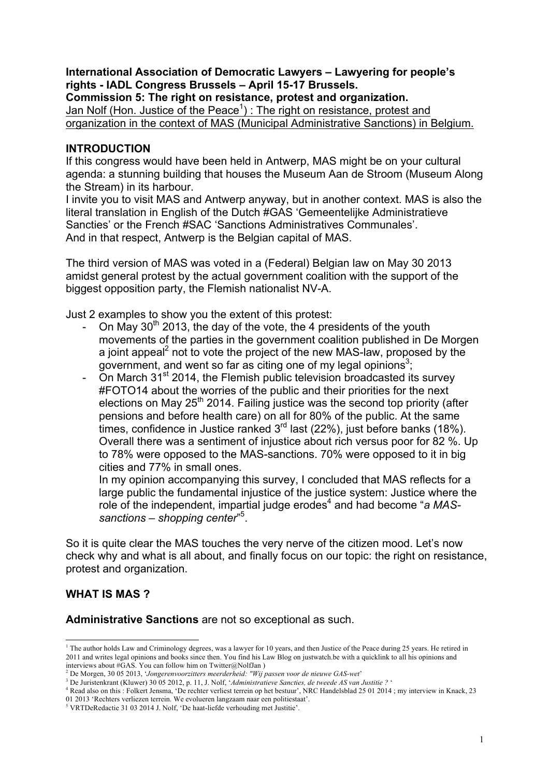# **International Association of Democratic Lawyers – Lawyering for people's rights - IADL Congress Brussels – April 15-17 Brussels.**

**Commission 5: The right on resistance, protest and organization.** Jan Nolf (Hon. Justice of the Peace<sup>1</sup>) : The right on resistance, protest and organization in the context of MAS (Municipal Administrative Sanctions) in Belgium.

# **INTRODUCTION**

If this congress would have been held in Antwerp, MAS might be on your cultural agenda: a stunning building that houses the Museum Aan de Stroom (Museum Along the Stream) in its harbour.

I invite you to visit MAS and Antwerp anyway, but in another context. MAS is also the literal translation in English of the Dutch #GAS 'Gemeentelijke Administratieve Sancties' or the French #SAC 'Sanctions Administratives Communales'. And in that respect, Antwerp is the Belgian capital of MAS.

The third version of MAS was voted in a (Federal) Belgian law on May 30 2013 amidst general protest by the actual government coalition with the support of the biggest opposition party, the Flemish nationalist NV-A.

Just 2 examples to show you the extent of this protest:

- On May  $30<sup>th</sup>$  2013, the day of the vote, the 4 presidents of the youth movements of the parties in the government coalition published in De Morgen a joint appeal<sup>2</sup> not to vote the project of the new MAS-law, proposed by the government, and went so far as citing one of my legal opinions<sup>3</sup>;
- On March  $31<sup>st</sup>$  2014, the Flemish public television broadcasted its survey #FOTO14 about the worries of the public and their priorities for the next elections on May  $25<sup>th</sup>$  2014. Failing justice was the second top priority (after pensions and before health care) on all for 80% of the public. At the same times, confidence in Justice ranked  $3<sup>rd</sup>$  last (22%), just before banks (18%). Overall there was a sentiment of injustice about rich versus poor for 82 %. Up to 78% were opposed to the MAS-sanctions. 70% were opposed to it in big cities and 77% in small ones.

In my opinion accompanying this survey, I concluded that MAS reflects for a large public the fundamental injustice of the justice system: Justice where the role of the independent, impartial judge erodes<sup>4</sup> and had become "a MASsanctions – shopping center<sup>"5</sup>.

So it is quite clear the MAS touches the very nerve of the citizen mood. Let's now check why and what is all about, and finally focus on our topic: the right on resistance, protest and organization.

# **WHAT IS MAS ?**

**Administrative Sanctions** are not so exceptional as such.

<sup>&</sup>lt;sup>1</sup> The author holds Law and Criminology degrees, was a lawyer for 10 years, and then Justice of the Peace during 25 years. He retired in 2011 and writes legal opinions and books since then. You find his Law Blog on justwatch.be with a quicklink to all his opinions and interviews about  $\#\overline{GAS}$ . You can follow him on Twitter@NolfJan )

<sup>2</sup> De Morgen, 30 05 2013, '*Jongerenvoorzitters meerderheid: "Wij passen voor de nieuwe GAS-wet*'

<sup>3</sup> De Juristenkrant (Kluwer) 30 05 2012, p. 11, J. Nolf, '*Administratieve Sancties, de tweede AS van Justitie ?* '

<sup>4</sup> Read also on this : Folkert Jensma, 'De rechter verliest terrein op het bestuur', NRC Handelsblad 25 01 2014 ; my interview in Knack, 23

<sup>01 2013 &#</sup>x27;Rechters verliezen terrein. We evolueren langzaam naar een politiestaat'.

<sup>5</sup> VRTDeRedactie 31 03 2014 J. Nolf, 'De haat-liefde verhouding met Justitie'.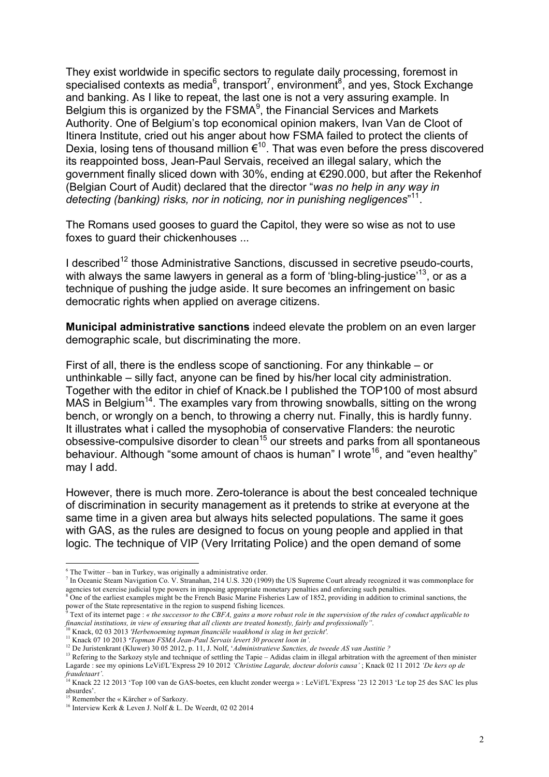They exist worldwide in specific sectors to regulate daily processing, foremost in specialised contexts as media $^6$ , transport<sup>7</sup>, environment<sup>8</sup>, and yes, Stock Exchange and banking. As I like to repeat, the last one is not a very assuring example. In Belgium this is organized by the  $FSMA<sup>9</sup>$ , the Financial Services and Markets Authority. One of Belgium's top economical opinion makers, Ivan Van de Cloot of Itinera Institute, cried out his anger about how FSMA failed to protect the clients of Dexia, losing tens of thousand million  $\varepsilon^{10}$ . That was even before the press discovered its reappointed boss, Jean-Paul Servais, received an illegal salary, which the government finally sliced down with 30%, ending at €290.000, but after the Rekenhof (Belgian Court of Audit) declared that the director "*was no help in any way in detecting (banking) risks, nor in noticing, nor in punishing negligences*" 11.

The Romans used gooses to guard the Capitol, they were so wise as not to use foxes to quard their chickenhouses ...

I described<sup>12</sup> those Administrative Sanctions, discussed in secretive pseudo-courts, with always the same lawyers in general as a form of 'bling-bling-justice'<sup>13</sup>, or as a technique of pushing the judge aside. It sure becomes an infringement on basic democratic rights when applied on average citizens.

**Municipal administrative sanctions** indeed elevate the problem on an even larger demographic scale, but discriminating the more.

First of all, there is the endless scope of sanctioning. For any thinkable – or unthinkable – silly fact, anyone can be fined by his/her local city administration. Together with the editor in chief of Knack.be I published the TOP100 of most absurd MAS in Belgium<sup>14</sup>. The examples vary from throwing snowballs, sitting on the wrong bench, or wrongly on a bench, to throwing a cherry nut. Finally, this is hardly funny. It illustrates what i called the mysophobia of conservative Flanders: the neurotic obsessive-compulsive disorder to clean<sup>15</sup> our streets and parks from all spontaneous behaviour. Although "some amount of chaos is human" I wrote<sup>16</sup>, and "even healthy" may I add.

However, there is much more. Zero-tolerance is about the best concealed technique of discrimination in security management as it pretends to strike at everyone at the same time in a given area but always hits selected populations. The same it goes with GAS, as the rules are designed to focus on young people and applied in that logic. The technique of VIP (Very Irritating Police) and the open demand of some

 $6$  The Twitter – ban in Turkey, was originally a administrative order.

 $^7$  In Oceanic Steam Navigation Co. V. Stranahan, 214 U.S. 320 (1909) the US Supreme Court already recognized it was commonplace for agencies tot exercise judicial type powers in imposing appropriate monetary penalties and enforcing such penalties.

 $8$  One of the earliest examples might be the French Basic Marine Fisheries Law of 1852, providing in addition to criminal sanctions, the power of the State representative in the region to suspend fishing licences.

<sup>9</sup> Text of its internet page : *« the successor to the CBFA, gains a more robust role in the supervision of the rules of conduct applicable to financial institutions, in view of ensuring that all clients are treated honestly, fairly and professionally"*.

<sup>10</sup> Knack, 02 03 2013 *'Herbenoeming topman financiële waakhond is slag in het gezicht'.*

<sup>11</sup> Knack 07 10 2013 *'Topman FSMA Jean-Paul Servais levert 30 procent loon in'.*

<sup>12</sup> De Juristenkrant (Kluwer) 30 05 2012, p. 11, J. Nolf, '*Administratieve Sancties, de tweede AS van Justitie ?*

<sup>&</sup>lt;sup>13</sup> Refering to the Sarkozy style and technique of settling the Tapie – Adidas claim in illegal arbitration with the agreement of then minister Lagarde : see my opinions LeVif/L'Express 29 10 2012 *'Christine Lagarde, docteur doloris causa'* ; Knack 02 11 2012 *'De kers op de fraudetaart'*.

<sup>&</sup>lt;sup>14</sup> Knack 22 12 2013 'Top 100 van de GAS-boetes, een klucht zonder weerga » : LeVif/L'Express '23 12 2013 'Le top 25 des SAC les plus absurdes'.

<sup>&</sup>lt;sup>15</sup> Remember the « Kärcher » of Sarkozy.

<sup>&</sup>lt;sup>16</sup> Interview Kerk & Leven J. Nolf & L. De Weerdt, 02 02 2014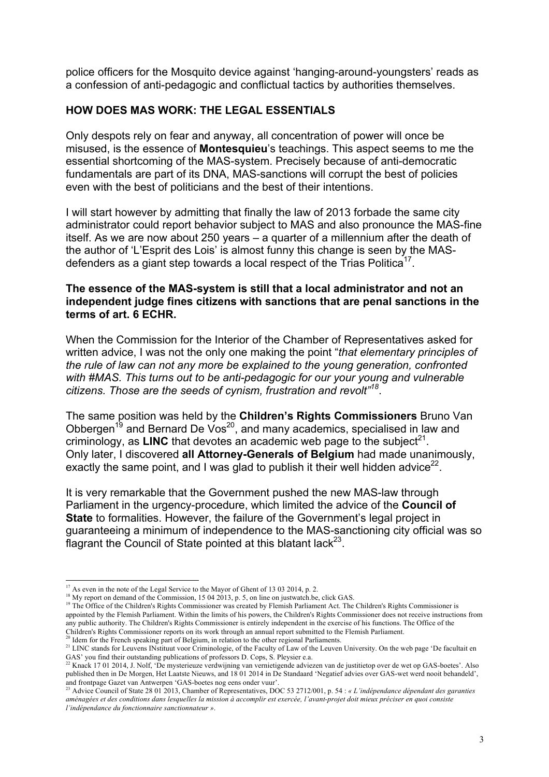police officers for the Mosquito device against 'hanging-around-youngsters' reads as a confession of anti-pedagogic and conflictual tactics by authorities themselves.

# **HOW DOES MAS WORK: THE LEGAL ESSENTIALS**

Only despots rely on fear and anyway, all concentration of power will once be misused, is the essence of **Montesquieu**'s teachings. This aspect seems to me the essential shortcoming of the MAS-system. Precisely because of anti-democratic fundamentals are part of its DNA, MAS-sanctions will corrupt the best of policies even with the best of politicians and the best of their intentions.

I will start however by admitting that finally the law of 2013 forbade the same city administrator could report behavior subject to MAS and also pronounce the MAS-fine itself. As we are now about 250 years – a quarter of a millennium after the death of the author of 'L'Esprit des Lois' is almost funny this change is seen by the MASdefenders as a giant step towards a local respect of the Trias Politica<sup>17</sup>.

# **The essence of the MAS-system is still that a local administrator and not an independent judge fines citizens with sanctions that are penal sanctions in the terms of art. 6 ECHR.**

When the Commission for the Interior of the Chamber of Representatives asked for written advice, I was not the only one making the point "*that elementary principles of the rule of law can not any more be explained to the young generation, confronted with #MAS. This turns out to be anti-pedagogic for our your young and vulnerable citizens. Those are the seeds of cynism, frustration and revolt"<sup>18</sup>*.

The same position was held by the **Children's Rights Commissioners** Bruno Van Obbergen<sup>19</sup> and Bernard De Vos<sup>20</sup>, and many academics, specialised in law and criminology, as **LINC** that devotes an academic web page to the subject<sup>21</sup>. Only later, I discovered **all Attorney-Generals of Belgium** had made unanimously, exactly the same point, and I was glad to publish it their well hidden advice<sup>22</sup>.

It is very remarkable that the Government pushed the new MAS-law through Parliament in the urgency-procedure, which limited the advice of the **Council of State** to formalities. However, the failure of the Government's legal project in guaranteeing a minimum of independence to the MAS-sanctioning city official was so flagrant the Council of State pointed at this blatant lack $^{23}$ .

<sup>17</sup> As even in the note of the Legal Service to the Mayor of Ghent of 13 03 2014, p. 2. <sup>18</sup> My report on demand of the Commission, 15 04 2013, p. 5, on line on justwatch.be, click GAS.

<sup>&</sup>lt;sup>19</sup> The Office of the Children's Rights Commissioner was created by Flemish Parliament Act. The Children's Rights Commissioner is appointed by the Flemish Parliament. Within the limits of his powers, the Children's Rights Commissioner does not receive instructions from any public authority. The Children's Rights Commissioner is entirely independent in the exercise of his functions. The Office of the Children's Rights Commissioner reports on its work through an annual report submitted to the Flemish Parliament. <sup>20</sup> Idem for the French speaking part of Belgium, in relation to the other regional Parliaments.

<sup>&</sup>lt;sup>21</sup> LINC stands for Leuvens INstituut voor Criminologie, of the Faculty of Law of the Leuven University. On the web page 'De facultait en GAS' you find their outstanding publications of professors D. Cops, S. Pleysier e.a.

 $^{22}$  Knack 17 01 2014, J. Nolf, 'De mysterieuze verdwijning van vernietigende adviezen van de justitietop over de wet op GAS-boetes'. Also published then in De Morgen, Het Laatste Nieuws, and 18 01 2014 in De Standaard 'Negatief advies over GAS-wet werd nooit behandeld', and frontpage Gazet van Antwerpen 'GAS-boetes nog eens onder vuur'.

<sup>23</sup> Advice Council of State 28 01 2013, Chamber of Representatives, DOC 53 2712/001, p. 54 : *« L'indépendance dépendant des garanties aménagées et des conditions dans lesquelles la mission à accomplir est exercée, l'avant-projet doit mieux préciser en quoi consiste l'indépendance du fonctionnaire sanctionnateur »*.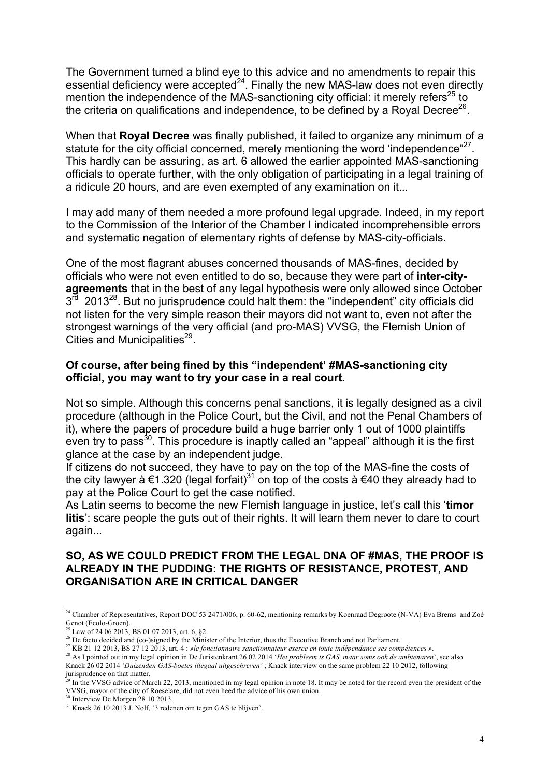The Government turned a blind eye to this advice and no amendments to repair this essential deficiency were accepted $^{24}$ . Finally the new MAS-law does not even directly mention the independence of the MAS-sanctioning city official: it merely refers<sup>25</sup> to the criteria on qualifications and independence, to be defined by a Royal Decree<sup>26</sup>.

When that **Royal Decree** was finally published, it failed to organize any minimum of a statute for the city official concerned, merely mentioning the word 'independence"<sup>27</sup>. This hardly can be assuring, as art. 6 allowed the earlier appointed MAS-sanctioning officials to operate further, with the only obligation of participating in a legal training of a ridicule 20 hours, and are even exempted of any examination on it...

I may add many of them needed a more profound legal upgrade. Indeed, in my report to the Commission of the Interior of the Chamber I indicated incomprehensible errors and systematic negation of elementary rights of defense by MAS-city-officials.

One of the most flagrant abuses concerned thousands of MAS-fines, decided by officials who were not even entitled to do so, because they were part of **inter-cityagreements** that in the best of any legal hypothesis were only allowed since October  $3<sup>rd</sup>$  2013<sup>28</sup>. But no jurisprudence could halt them: the "independent" city officials did not listen for the very simple reason their mayors did not want to, even not after the strongest warnings of the very official (and pro-MAS) VVSG, the Flemish Union of Cities and Municipalities $^{29}$ .

# **Of course, after being fined by this "independent' #MAS-sanctioning city official, you may want to try your case in a real court.**

Not so simple. Although this concerns penal sanctions, it is legally designed as a civil procedure (although in the Police Court, but the Civil, and not the Penal Chambers of it), where the papers of procedure build a huge barrier only 1 out of 1000 plaintiffs even try to pass<sup>30</sup>. This procedure is inaptly called an "appeal" although it is the first glance at the case by an independent judge.

If citizens do not succeed, they have to pay on the top of the MAS-fine the costs of the city lawyer à €1.320 (legal forfait)<sup>31</sup> on top of the costs à €40 they already had to pay at the Police Court to get the case notified.

As Latin seems to become the new Flemish language in justice, let's call this '**timor litis**': scare people the guts out of their rights. It will learn them never to dare to court again...

# **SO, AS WE COULD PREDICT FROM THE LEGAL DNA OF #MAS, THE PROOF IS ALREADY IN THE PUDDING: THE RIGHTS OF RESISTANCE, PROTEST, AND ORGANISATION ARE IN CRITICAL DANGER**

<sup>&</sup>lt;sup>24</sup> Chamber of Representatives, Report DOC 53 2471/006, p. 60-62, mentioning remarks by Koenraad Degroote (N-VA) Eva Brems and Zoé Genot (Ecolo-Groen).

<sup>&</sup>lt;sup>25</sup> Law of 24 06 2013, BS 01 07 2013, art. 6, §2.

<sup>&</sup>lt;sup>26</sup> De facto decided and (co-)signed by the Minister of the Interior, thus the Executive Branch and not Parliament.<br><sup>27</sup> KB 21 12 2013, BS 27 12 2013, art. 4 : *»le fonctionnaire sanctionnateur exerce en toute indépendan* 

<sup>&</sup>lt;sup>28</sup> As I pointed out in my legal opinion in De Juristenkrant 26 02 2014 '*Het probleem is GAS, maar soms ook de ambtenaren*', see also Knack 26 02 2014 *'Duizenden GAS-boetes illegaal uitgeschreven'* ; Knack interview on the same problem 22 10 2012, following jurisprudence on that matter.

In the VVSG advice of March 22, 2013, mentioned in my legal opinion in note 18. It may be noted for the record even the president of the VVSG, mayor of the city of Roeselare, did not even heed the advice of his own union.

<sup>30</sup> Interview De Morgen 28 10 2013.

<sup>31</sup> Knack 26 10 2013 J. Nolf, '3 redenen om tegen GAS te blijven'.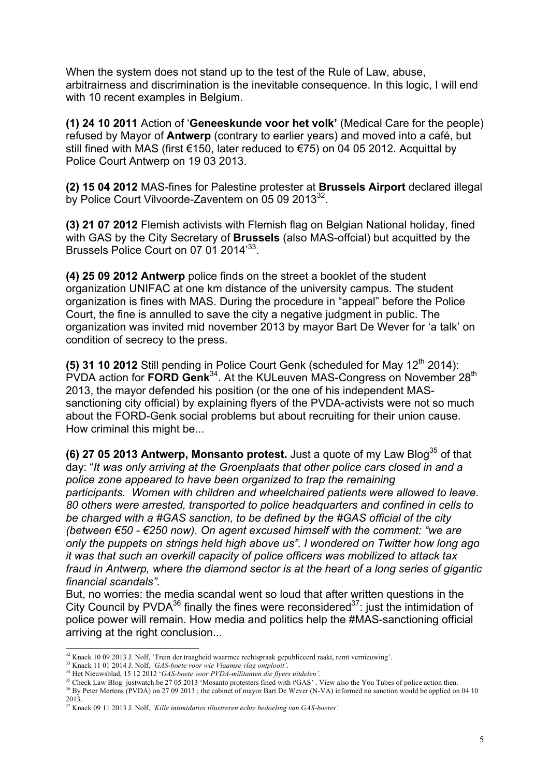When the system does not stand up to the test of the Rule of Law, abuse, arbitrairness and discrimination is the inevitable consequence. In this logic, I will end with 10 recent examples in Belgium.

**(1) 24 10 2011** Action of '**Geneeskunde voor het volk'** (Medical Care for the people) refused by Mayor of **Antwerp** (contrary to earlier years) and moved into a café, but still fined with MAS (first €150, later reduced to €75) on 04 05 2012. Acquittal by Police Court Antwerp on 19 03 2013.

**(2) 15 04 2012** MAS-fines for Palestine protester at **Brussels Airport** declared illegal by Police Court Vilvoorde-Zaventem on 05 09 2013<sup>32</sup>.

**(3) 21 07 2012** Flemish activists with Flemish flag on Belgian National holiday, fined with GAS by the City Secretary of **Brussels** (also MAS-offcial) but acquitted by the Brussels Police Court on 07 01 2014<sup>33</sup>.

**(4) 25 09 2012 Antwerp** police finds on the street a booklet of the student organization UNIFAC at one km distance of the university campus. The student organization is fines with MAS. During the procedure in "appeal" before the Police Court, the fine is annulled to save the city a negative judgment in public. The organization was invited mid november 2013 by mayor Bart De Wever for 'a talk' on condition of secrecy to the press.

**(5) 31 10 2012** Still pending in Police Court Genk (scheduled for Mav 12<sup>th</sup> 2014): PVDA action for **FORD Genk**<sup>34</sup>. At the KULeuven MAS-Congress on November 28<sup>th</sup> 2013, the mayor defended his position (or the one of his independent MASsanctioning city official) by explaining flyers of the PVDA-activists were not so much about the FORD-Genk social problems but about recruiting for their union cause. How criminal this might be...

**(6) 27 05 2013 Antwerp, Monsanto protest.** Just a quote of my Law Blog<sup>35</sup> of that day: "*It was only arriving at the Groenplaats that other police cars closed in and a police zone appeared to have been organized to trap the remaining participants. Women with children and wheelchaired patients were allowed to leave. 80 others were arrested, transported to police headquarters and confined in cells to be charged with a #GAS sanction, to be defined by the #GAS official of the city (between €50 - €250 now). On agent excused himself with the comment: "we are only the puppets on strings held high above us". I wondered on Twitter how long ago it was that such an overkill capacity of police officers was mobilized to attack tax fraud in Antwerp, where the diamond sector is at the heart of a long series of gigantic financial scandals"*.

But, no worries: the media scandal went so loud that after written questions in the City Council by PVDA $^{36}$  finally the fines were reconsidered $^{37}$ : just the intimidation of police power will remain. How media and politics help the #MAS-sanctioning official arriving at the right conclusion...

 <sup>32</sup> Knack 10 09 2013 J. Nolf, 'Trein der traagheid waarmee rechtspraak gepubliceerd raakt, remt vernieuwing'.

<sup>33</sup> Knack 11 01 2014 J. Nolf, *'GAS-boete voor wie Vlaamse vlag ontplooit'*.

<sup>34</sup> Het Nieuwsblad, 15 12 2012 '*GAS-boete voor PVDA-militanten die flyers uitdelen'*.

<sup>&</sup>lt;sup>35</sup> Check Law Blog justwatch.be 27 05 2013 'Mosanto protesters fined with #GAS'. View also the You Tubes of police action then. <sup>36</sup> By Peter Mertens (PVDA) on 27 09 2013; the cabinet of mayor Bart De Wever (N-VA) informed no sanction would be applied on 04 10 2013.

<sup>37</sup> Knack 09 11 2013 J. Nolf, *'Kille intimidaties illustreren echte bedoeling van GAS-boetes'.*